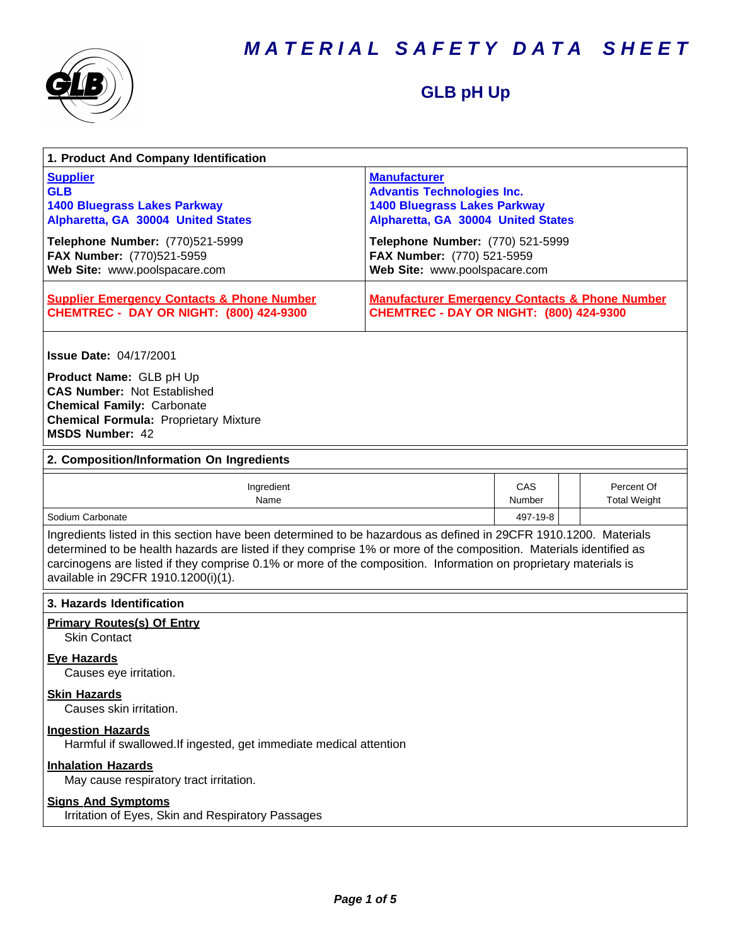*MATERIAL SAFETY DATA SHEET*



### **GLB pH Up**

| 1. Product And Company Identification                                                                                                                                                                                                                                                                                                                                                             |                                                                                                                                       |               |                                   |  |
|---------------------------------------------------------------------------------------------------------------------------------------------------------------------------------------------------------------------------------------------------------------------------------------------------------------------------------------------------------------------------------------------------|---------------------------------------------------------------------------------------------------------------------------------------|---------------|-----------------------------------|--|
| <b>Supplier</b><br><b>GLB</b><br><b>1400 Bluegrass Lakes Parkway</b><br>Alpharetta, GA 30004 United States                                                                                                                                                                                                                                                                                        | <b>Manufacturer</b><br><b>Advantis Technologies Inc.</b><br><b>1400 Bluegrass Lakes Parkway</b><br>Alpharetta, GA 30004 United States |               |                                   |  |
| Telephone Number: (770)521-5999<br>FAX Number: (770)521-5959<br>Web Site: www.poolspacare.com                                                                                                                                                                                                                                                                                                     | Telephone Number: (770) 521-5999<br>FAX Number: (770) 521-5959<br>Web Site: www.poolspacare.com                                       |               |                                   |  |
| <b>Supplier Emergency Contacts &amp; Phone Number</b><br><b>CHEMTREC - DAY OR NIGHT: (800) 424-9300</b>                                                                                                                                                                                                                                                                                           | <b>Manufacturer Emergency Contacts &amp; Phone Number</b><br><b>CHEMTREC - DAY OR NIGHT: (800) 424-9300</b>                           |               |                                   |  |
| <b>Issue Date: 04/17/2001</b>                                                                                                                                                                                                                                                                                                                                                                     |                                                                                                                                       |               |                                   |  |
| Product Name: GLB pH Up<br><b>CAS Number: Not Established</b><br><b>Chemical Family: Carbonate</b><br><b>Chemical Formula: Proprietary Mixture</b><br><b>MSDS Number: 42</b>                                                                                                                                                                                                                      |                                                                                                                                       |               |                                   |  |
| 2. Composition/Information On Ingredients                                                                                                                                                                                                                                                                                                                                                         |                                                                                                                                       |               |                                   |  |
| Ingredient<br>Name                                                                                                                                                                                                                                                                                                                                                                                |                                                                                                                                       | CAS<br>Number | Percent Of<br><b>Total Weight</b> |  |
| Sodium Carbonate                                                                                                                                                                                                                                                                                                                                                                                  |                                                                                                                                       | 497-19-8      |                                   |  |
| Ingredients listed in this section have been determined to be hazardous as defined in 29CFR 1910.1200. Materials<br>determined to be health hazards are listed if they comprise 1% or more of the composition. Materials identified as<br>carcinogens are listed if they comprise 0.1% or more of the composition. Information on proprietary materials is<br>available in 29CFR 1910.1200(i)(1). |                                                                                                                                       |               |                                   |  |
| 3. Hazards Identification                                                                                                                                                                                                                                                                                                                                                                         |                                                                                                                                       |               |                                   |  |
| <b>Primary Routes(s) Of Entry</b><br><b>Skin Contact</b>                                                                                                                                                                                                                                                                                                                                          |                                                                                                                                       |               |                                   |  |
| <b>Eve Hazards</b><br>Causes eye irritation.                                                                                                                                                                                                                                                                                                                                                      |                                                                                                                                       |               |                                   |  |
| <b>Skin Hazards</b><br>Causes skin irritation.                                                                                                                                                                                                                                                                                                                                                    |                                                                                                                                       |               |                                   |  |
| <b>Ingestion Hazards</b><br>Harmful if swallowed. If ingested, get immediate medical attention                                                                                                                                                                                                                                                                                                    |                                                                                                                                       |               |                                   |  |
| <b>Inhalation Hazards</b><br>May cause respiratory tract irritation.                                                                                                                                                                                                                                                                                                                              |                                                                                                                                       |               |                                   |  |
| <b>Signs And Symptoms</b><br>Irritation of Eyes, Skin and Respiratory Passages                                                                                                                                                                                                                                                                                                                    |                                                                                                                                       |               |                                   |  |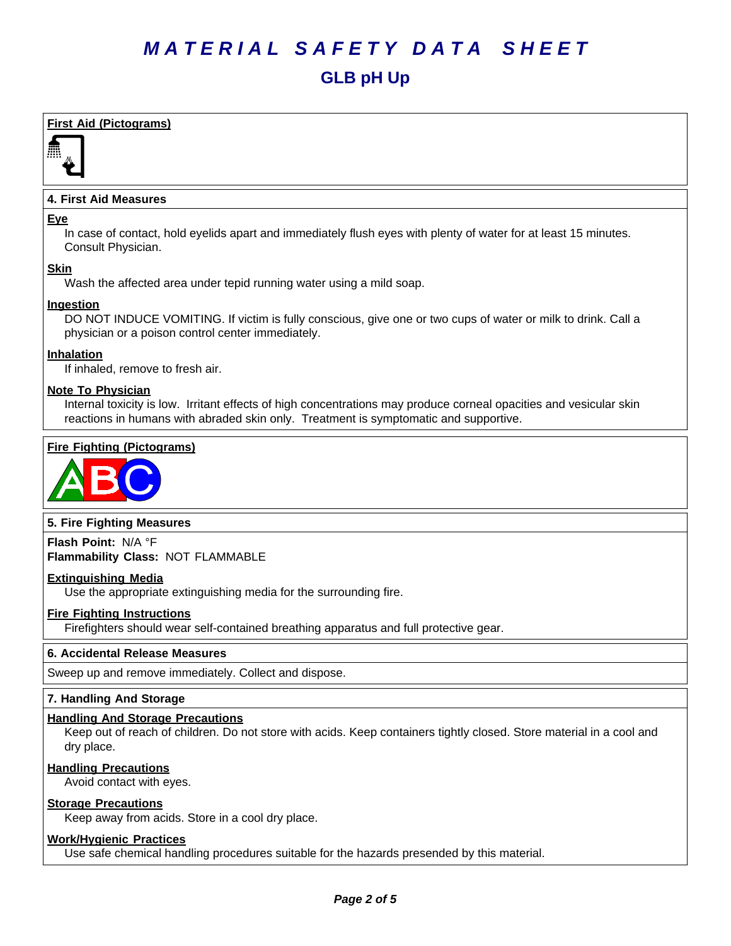## *MATERIAL SAFETY DATA SHEET* **GLB pH Up**

#### **First Aid (Pictograms)**



#### **4. First Aid Measures**

#### **Eye**

In case of contact, hold eyelids apart and immediately flush eyes with plenty of water for at least 15 minutes. Consult Physician.

#### **Skin**

Wash the affected area under tepid running water using a mild soap.

#### **Ingestion**

DO NOT INDUCE VOMITING. If victim is fully conscious, give one or two cups of water or milk to drink. Call a physician or a poison control center immediately.

#### **Inhalation**

If inhaled, remove to fresh air.

#### **Note To Physician**

Internal toxicity is low. Irritant effects of high concentrations may produce corneal opacities and vesicular skin reactions in humans with abraded skin only. Treatment is symptomatic and supportive.

#### **Fire Fighting (Pictograms)**



#### **5. Fire Fighting Measures**

**Flash Point:** N/A°F **Flammability Class:** NOT FLAMMABLE

#### **Extinguishing Media**

Use the appropriate extinguishing media for the surrounding fire.

#### **Fire Fighting Instructions**

Firefighters should wear self-contained breathing apparatus and full protective gear.

#### **6.Accidental ReleaseMeasures**

Sweep up and remove immediately. Collect and dispose.

#### **7. Handling And Storage**

#### **Handling And Storage Precautions**

Keep out of reach of children. Do not store with acids. Keep containers tightly closed. Store material in a cool and dry place.

#### **Handling Precautions**

Avoid contact with eyes.

#### **Storage Precautions**

Keep away from acids. Store in a cool dry place.

#### **Work/Hygienic Practices**

Use safe chemical handling procedures suitable for the hazards presended by this material.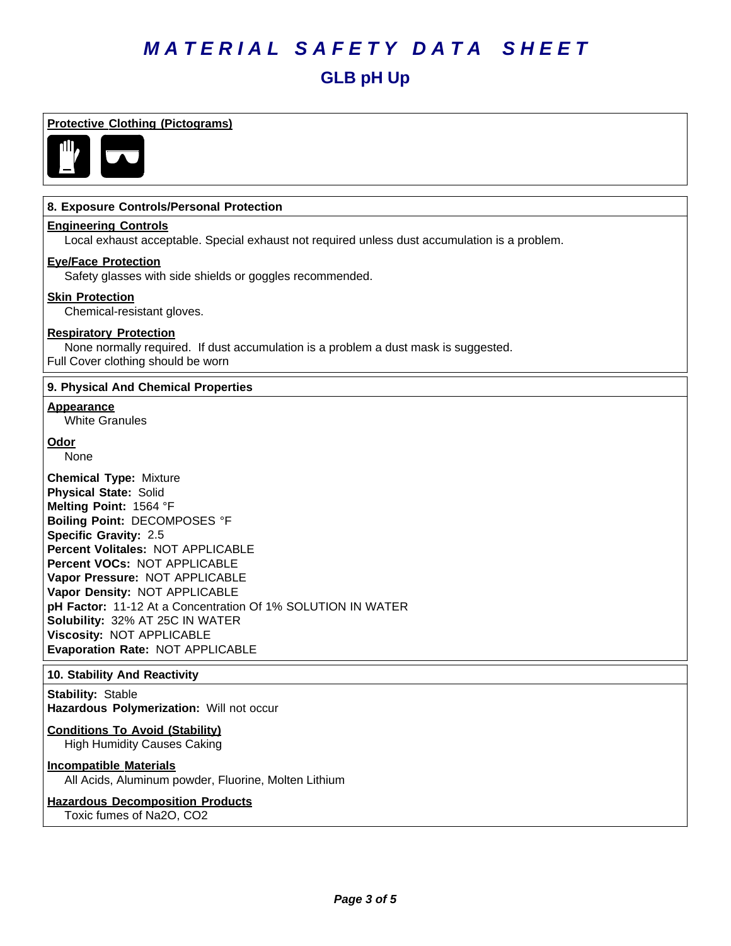## *MATERIAL SAFETY DATA SHEET* **GLB pH Up**

#### **Protective Clothing (Pictograms)**



#### **8. Exposure Controls/Personal Protection**

#### **Engineering Controls**

Local exhaust acceptable. Special exhaust not required unless dust accumulation is a problem.

#### **Eye/Face Protection**

Safety glasses with side shields or goggles recommended.

#### **Skin Protection**

Chemical-resistant gloves.

#### **Respiratory Protection**

None normally required. If dust accumulation is a problem a dust mask is suggested. Full Cover clothing should be worn

#### **9. Physical And Chemical Properties**

#### **Appearance**

White Granules

#### **Odor**

None

**Chemical Type:** Mixture **Physical State:** Solid **Melting Point:** 1564°F **Boiling Point:** DECOMPOSES °F **Specific Gravity:** 2.5 **Percent Volitales:** NOT APPLICABLE **Percent VOCs:** NOT APPLICABLE **Vapor Pressure:** NOT APPLICABLE **Vapor Density:** NOT APPLICABLE pH Factor: 11-12 At a Concentration Of 1% SOLUTION IN WATER **Solubility: 32% AT 25C IN WATER Viscosity: NOT APPLICABLE Evaporation Rate:** NOT APPLICABLE

#### **10. Stability And Reactivity**

**Stability: Stable** Hazardous Polymerization: Will not occur

#### **Conditions To Avoid (Stability)**

High Humidity Causes Caking

#### **Incompatible Materials**

All Acids, Aluminum powder, Fluorine, Molten Lithium

#### **Hazardous Decomposition Products** Toxic fumes of Na2O, CO2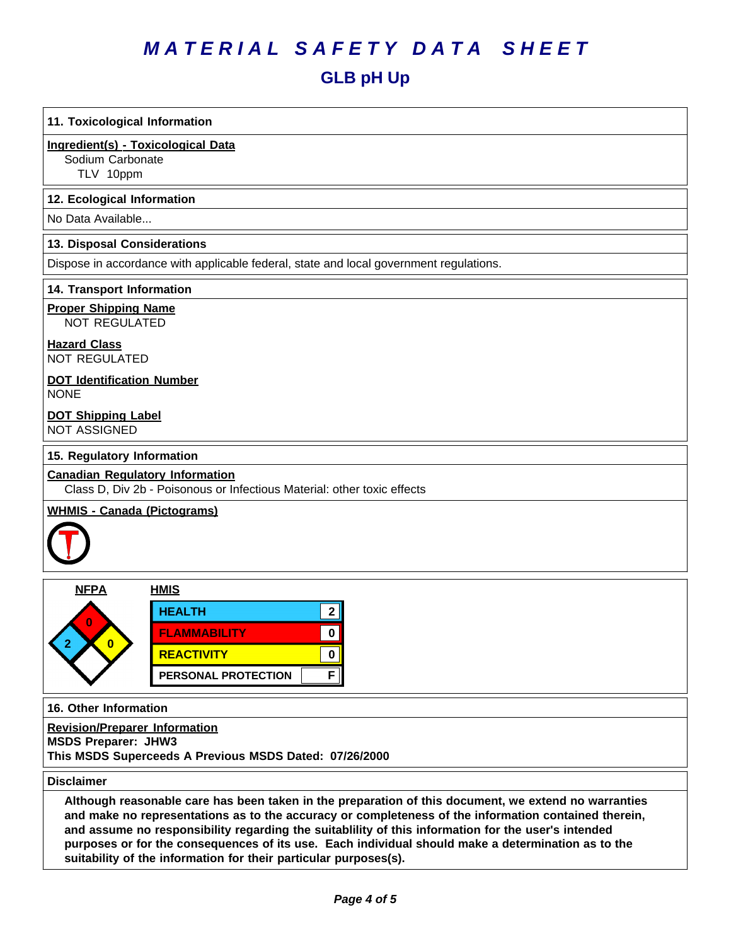### *MATERIAL SAFETY DATA SHEET*

### **GLB pH Up**

#### **11. Toxicological Information**

#### **Ingredient(s) - Toxicological Data**

Sodium Carbonate

TLV 10ppm

#### **12. Ecological Information**

No Data Available...

#### **13. Disposal Considerations**

Dispose in accordance with applicable federal, state and local government regulations.

#### **14. Transport Information**

**Proper Shipping Name**

NOT REGULATED

#### **Hazard Class** NOT REGULATED

### **DOT Identification Number**

NONE

#### **DOT Shipping Label** NOT ASSIGNED

#### **15. Regulatory Information**

#### **Canadian Regulatory Information**

Class D, Div 2b - Poisonous or Infectious Material: other toxic effects

#### **WHMIS - Canada (Pictograms)**



| <b>NFPA</b> | <b>HMIS</b>         |  |
|-------------|---------------------|--|
|             | <b>HEALTH</b>       |  |
|             | <b>FLAMMABILITY</b> |  |
|             | <b>REACTIVITY</b>   |  |
|             | PERSONAL PROTECTION |  |

**16. Other Information**

**Revision/Preparer Information MSDS Preparer: JHW3 This MSDS Superceeds A Previous MSDS Dated: 07/26/2000**

#### **Disclaimer**

Although reasonable care has been taken in the preparation of this document, we extend no warranties **and make no representations as to the accuracy or completeness of the information contained therein, and assume no responsibility regarding the suitablility of this information for the user's intended purposesor fortheconsequences ofitsuse. Each individualshouldmake adeterminationas tothe suitability of the information for their particular purposes(s).**